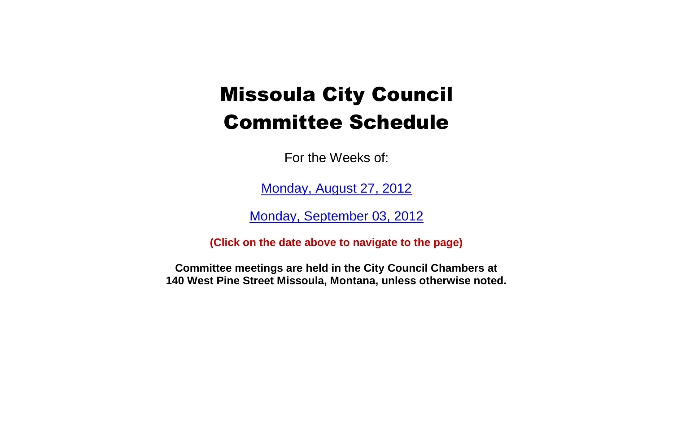For the Weeks of:

[Monday, August 27, 2012](#page-1-0)

[Monday, September 03, 2012](#page-4-0)

**(Click on the date above to navigate to the page)**

**Committee meetings are held in the City Council Chambers at 140 West Pine Street Missoula, Montana, unless otherwise noted.**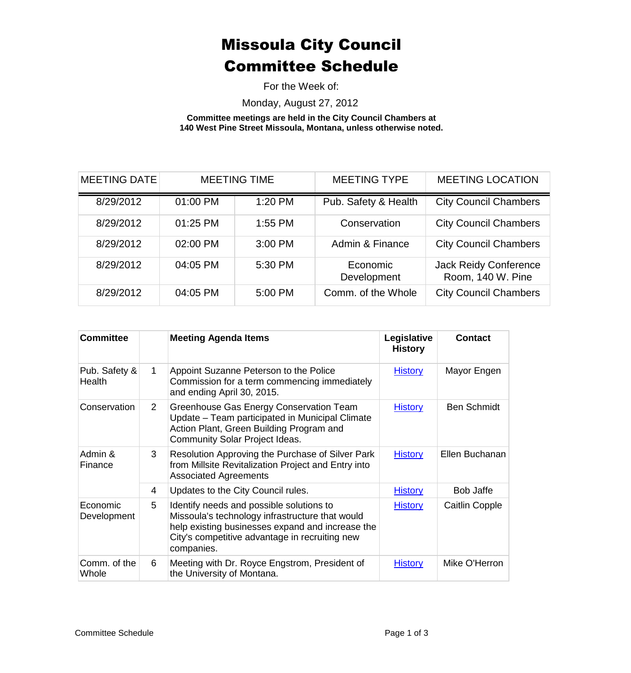For the Week of:

Monday, August 27, 2012

**Committee meetings are held in the City Council Chambers at 140 West Pine Street Missoula, Montana, unless otherwise noted.**

<span id="page-1-0"></span>

| <b>MEETING DATE</b> |          | <b>MEETING TIME</b> | <b>MEETING TYPE</b>     | <b>MEETING LOCATION</b>                           |
|---------------------|----------|---------------------|-------------------------|---------------------------------------------------|
| 8/29/2012           | 01:00 PM | 1:20 PM             | Pub. Safety & Health    | <b>City Council Chambers</b>                      |
| 8/29/2012           | 01:25 PM | $1:55$ PM           | Conservation            | <b>City Council Chambers</b>                      |
| 8/29/2012           | 02:00 PM | 3:00 PM             | Admin & Finance         | <b>City Council Chambers</b>                      |
| 8/29/2012           | 04:05 PM | 5:30 PM             | Economic<br>Development | <b>Jack Reidy Conference</b><br>Room, 140 W. Pine |
| 8/29/2012           | 04:05 PM | 5:00 PM             | Comm. of the Whole      | <b>City Council Chambers</b>                      |

| <b>Committee</b>        |                | <b>Meeting Agenda Items</b>                                                                                                                                                                                     | Legislative<br><b>History</b> | <b>Contact</b>        |
|-------------------------|----------------|-----------------------------------------------------------------------------------------------------------------------------------------------------------------------------------------------------------------|-------------------------------|-----------------------|
| Pub. Safety &<br>Health | $\mathbf 1$    | Appoint Suzanne Peterson to the Police<br>Commission for a term commencing immediately<br>and ending April 30, 2015.                                                                                            | <b>History</b>                | Mayor Engen           |
| Conservation            | $\overline{2}$ | Greenhouse Gas Energy Conservation Team<br>Update - Team participated in Municipal Climate<br>Action Plant, Green Building Program and<br>Community Solar Project Ideas.                                        | <b>History</b>                | <b>Ben Schmidt</b>    |
| Admin &<br>Finance      | 3              | Resolution Approving the Purchase of Silver Park<br>from Millsite Revitalization Project and Entry into<br><b>Associated Agreements</b>                                                                         | <b>History</b>                | Ellen Buchanan        |
|                         | 4              | Updates to the City Council rules.                                                                                                                                                                              | <b>History</b>                | Bob Jaffe             |
| Economic<br>Development | 5              | Identify needs and possible solutions to<br>Missoula's technology infrastructure that would<br>help existing businesses expand and increase the<br>City's competitive advantage in recruiting new<br>companies. | <b>History</b>                | <b>Caitlin Copple</b> |
| Comm. of the<br>Whole   | 6              | Meeting with Dr. Royce Engstrom, President of<br>the University of Montana.                                                                                                                                     | <b>History</b>                | Mike O'Herron         |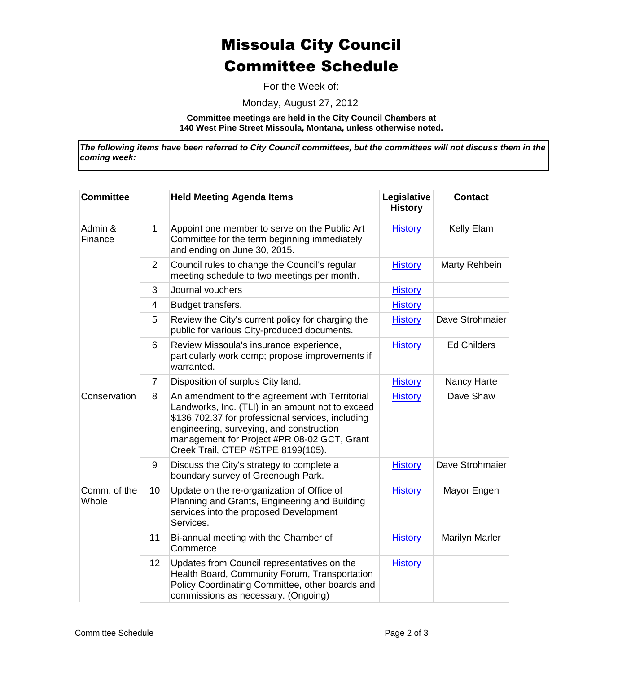For the Week of:

Monday, August 27, 2012

**Committee meetings are held in the City Council Chambers at 140 West Pine Street Missoula, Montana, unless otherwise noted.**

*The following items have been referred to City Council committees, but the committees will not discuss them in the coming week:*

| <b>Committee</b>      |                | <b>Held Meeting Agenda Items</b>                                                                                                                                                                                                                                                         | Legislative<br><b>History</b> | <b>Contact</b>        |
|-----------------------|----------------|------------------------------------------------------------------------------------------------------------------------------------------------------------------------------------------------------------------------------------------------------------------------------------------|-------------------------------|-----------------------|
| Admin &<br>Finance    | 1              | Appoint one member to serve on the Public Art<br>Committee for the term beginning immediately<br>and ending on June 30, 2015.                                                                                                                                                            | <b>History</b>                | Kelly Elam            |
|                       | $\overline{2}$ | Council rules to change the Council's regular<br>meeting schedule to two meetings per month.                                                                                                                                                                                             | <b>History</b>                | Marty Rehbein         |
|                       | 3              | Journal vouchers                                                                                                                                                                                                                                                                         | <b>History</b>                |                       |
|                       | 4              | Budget transfers.                                                                                                                                                                                                                                                                        | <b>History</b>                |                       |
|                       | 5              | Review the City's current policy for charging the<br>public for various City-produced documents.                                                                                                                                                                                         | <b>History</b>                | Dave Strohmaier       |
|                       | 6              | Review Missoula's insurance experience,<br>particularly work comp; propose improvements if<br>warranted.                                                                                                                                                                                 | <b>History</b>                | <b>Ed Childers</b>    |
|                       | $\overline{7}$ | Disposition of surplus City land.                                                                                                                                                                                                                                                        | <b>History</b>                | Nancy Harte           |
| Conservation          | 8              | An amendment to the agreement with Territorial<br>Landworks, Inc. (TLI) in an amount not to exceed<br>\$136,702.37 for professional services, including<br>engineering, surveying, and construction<br>management for Project #PR 08-02 GCT, Grant<br>Creek Trail, CTEP #STPE 8199(105). | <b>History</b>                | Dave Shaw             |
|                       | 9              | Discuss the City's strategy to complete a<br>boundary survey of Greenough Park.                                                                                                                                                                                                          | <b>History</b>                | Dave Strohmaier       |
| Comm. of the<br>Whole | 10             | Update on the re-organization of Office of<br>Planning and Grants, Engineering and Building<br>services into the proposed Development<br>Services.                                                                                                                                       | <b>History</b>                | Mayor Engen           |
|                       | 11             | Bi-annual meeting with the Chamber of<br>Commerce                                                                                                                                                                                                                                        | <b>History</b>                | <b>Marilyn Marler</b> |
|                       | 12             | Updates from Council representatives on the<br>Health Board, Community Forum, Transportation<br>Policy Coordinating Committee, other boards and<br>commissions as necessary. (Ongoing)                                                                                                   | <b>History</b>                |                       |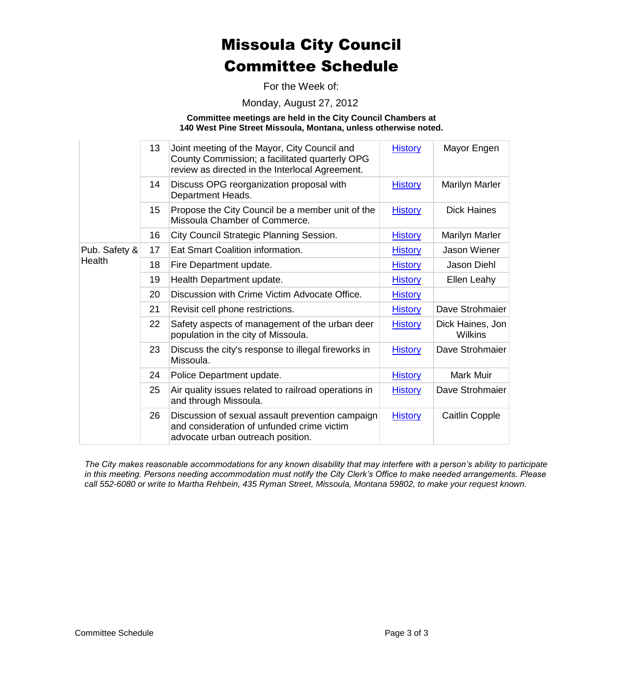For the Week of:

Monday, August 27, 2012

**Committee meetings are held in the City Council Chambers at 140 West Pine Street Missoula, Montana, unless otherwise noted.**

|               | 13 | Joint meeting of the Mayor, City Council and<br>County Commission; a facilitated quarterly OPG<br>review as directed in the Interlocal Agreement. | <b>History</b> | Mayor Engen                        |
|---------------|----|---------------------------------------------------------------------------------------------------------------------------------------------------|----------------|------------------------------------|
|               | 14 | Discuss OPG reorganization proposal with<br>Department Heads.                                                                                     | <b>History</b> | <b>Marilyn Marler</b>              |
|               | 15 | Propose the City Council be a member unit of the<br>Missoula Chamber of Commerce.                                                                 | <b>History</b> | <b>Dick Haines</b>                 |
|               | 16 | City Council Strategic Planning Session.                                                                                                          | <b>History</b> | <b>Marilyn Marler</b>              |
| Pub. Safety & | 17 | Eat Smart Coalition information.                                                                                                                  | <b>History</b> | <b>Jason Wiener</b>                |
| Health        | 18 | Fire Department update.                                                                                                                           | <b>History</b> | Jason Diehl                        |
|               | 19 | Health Department update.                                                                                                                         | <b>History</b> | Ellen Leahy                        |
|               | 20 | Discussion with Crime Victim Advocate Office.                                                                                                     | <b>History</b> |                                    |
|               | 21 | Revisit cell phone restrictions.                                                                                                                  | <b>History</b> | Dave Strohmaier                    |
|               | 22 | Safety aspects of management of the urban deer<br>population in the city of Missoula.                                                             | <b>History</b> | Dick Haines, Jon<br><b>Wilkins</b> |
|               | 23 | Discuss the city's response to illegal fireworks in<br>Missoula.                                                                                  | <b>History</b> | Dave Strohmaier                    |
|               | 24 | Police Department update.                                                                                                                         | <b>History</b> | <b>Mark Muir</b>                   |
|               | 25 | Air quality issues related to railroad operations in<br>and through Missoula.                                                                     | <b>History</b> | Dave Strohmaier                    |
|               | 26 | Discussion of sexual assault prevention campaign<br>and consideration of unfunded crime victim<br>advocate urban outreach position.               | <b>History</b> | Caitlin Copple                     |

*The City makes reasonable accommodations for any known disability that may interfere with a person's ability to participate in this meeting. Persons needing accommodation must notify the City Clerk's Office to make needed arrangements. Please call 552-6080 or write to Martha Rehbein, 435 Ryman Street, Missoula, Montana 59802, to make your request known.*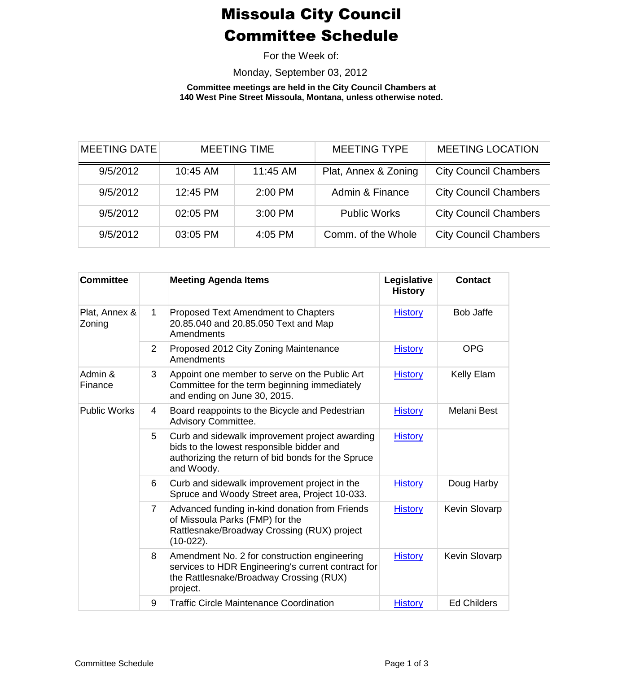For the Week of:

Monday, September 03, 2012

**Committee meetings are held in the City Council Chambers at 140 West Pine Street Missoula, Montana, unless otherwise noted.**

<span id="page-4-0"></span>

| <b>MEETING DATE</b> | <b>MEETING TIME</b> |          | <b>MEETING TYPE</b>  | <b>MEETING LOCATION</b>      |
|---------------------|---------------------|----------|----------------------|------------------------------|
| 9/5/2012            | 10:45 AM            | 11:45 AM | Plat, Annex & Zoning | <b>City Council Chambers</b> |
| 9/5/2012            | 12:45 PM            | 2:00 PM  | Admin & Finance      | <b>City Council Chambers</b> |
| 9/5/2012            | 02:05 PM            | 3:00 PM  | <b>Public Works</b>  | <b>City Council Chambers</b> |
| 9/5/2012            | 03:05 PM            | 4:05 PM  | Comm. of the Whole   | <b>City Council Chambers</b> |

| <b>Committee</b>        |                | <b>Meeting Agenda Items</b>                                                                                                                                     | Legislative<br><b>History</b> | <b>Contact</b>     |
|-------------------------|----------------|-----------------------------------------------------------------------------------------------------------------------------------------------------------------|-------------------------------|--------------------|
| Plat, Annex &<br>Zoning | $\mathbf{1}$   | Proposed Text Amendment to Chapters<br>20.85.040 and 20.85.050 Text and Map<br>Amendments                                                                       | <b>History</b>                | <b>Bob Jaffe</b>   |
|                         | $\overline{2}$ | Proposed 2012 City Zoning Maintenance<br>Amendments                                                                                                             | <b>History</b>                | <b>OPG</b>         |
| Admin &<br>Finance      | 3              | Appoint one member to serve on the Public Art<br>Committee for the term beginning immediately<br>and ending on June 30, 2015.                                   | <b>History</b>                | Kelly Elam         |
| <b>Public Works</b>     | 4              | Board reappoints to the Bicycle and Pedestrian<br><b>Advisory Committee.</b>                                                                                    | <b>History</b>                | Melani Best        |
|                         | 5              | Curb and sidewalk improvement project awarding<br>bids to the lowest responsible bidder and<br>authorizing the return of bid bonds for the Spruce<br>and Woody. | <b>History</b>                |                    |
|                         | 6              | Curb and sidewalk improvement project in the<br>Spruce and Woody Street area, Project 10-033.                                                                   | <b>History</b>                | Doug Harby         |
|                         | $\overline{7}$ | Advanced funding in-kind donation from Friends<br>of Missoula Parks (FMP) for the<br>Rattlesnake/Broadway Crossing (RUX) project<br>$(10-022)$ .                | <b>History</b>                | Kevin Slovarp      |
|                         | 8              | Amendment No. 2 for construction engineering<br>services to HDR Engineering's current contract for<br>the Rattlesnake/Broadway Crossing (RUX)<br>project.       | <b>History</b>                | Kevin Slovarp      |
|                         | 9              | <b>Traffic Circle Maintenance Coordination</b>                                                                                                                  | <b>History</b>                | <b>Ed Childers</b> |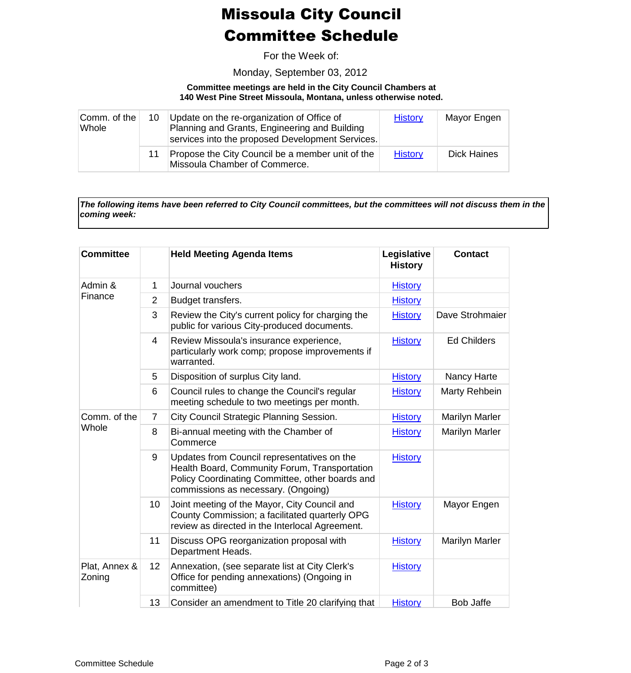For the Week of:

Monday, September 03, 2012

#### **Committee meetings are held in the City Council Chambers at 140 West Pine Street Missoula, Montana, unless otherwise noted.**

| Comm. of the<br>Whole | 10 | Update on the re-organization of Office of<br>Planning and Grants, Engineering and Building<br>services into the proposed Development Services. | <b>History</b> | Mayor Engen |
|-----------------------|----|-------------------------------------------------------------------------------------------------------------------------------------------------|----------------|-------------|
|                       | 11 | Propose the City Council be a member unit of the<br>Missoula Chamber of Commerce.                                                               | <b>History</b> | Dick Haines |

*The following items have been referred to City Council committees, but the committees will not discuss them in the coming week:*

| <b>Committee</b>        |                 | <b>Held Meeting Agenda Items</b>                                                                                                                                                       | Legislative<br><b>History</b> | <b>Contact</b>        |
|-------------------------|-----------------|----------------------------------------------------------------------------------------------------------------------------------------------------------------------------------------|-------------------------------|-----------------------|
| Admin &<br>Finance      | 1               | Journal vouchers                                                                                                                                                                       | <b>History</b>                |                       |
|                         | $\overline{2}$  | Budget transfers.                                                                                                                                                                      | <b>History</b>                |                       |
|                         | 3               | Review the City's current policy for charging the<br>public for various City-produced documents.                                                                                       | <b>History</b>                | Dave Strohmaier       |
|                         | 4               | Review Missoula's insurance experience,<br>particularly work comp; propose improvements if<br>warranted.                                                                               | <b>History</b>                | <b>Ed Childers</b>    |
|                         | 5               | Disposition of surplus City land.                                                                                                                                                      | <b>History</b>                | Nancy Harte           |
|                         | 6               | Council rules to change the Council's regular<br>meeting schedule to two meetings per month.                                                                                           | <b>History</b>                | Marty Rehbein         |
| Comm. of the            | $\overline{7}$  | City Council Strategic Planning Session.                                                                                                                                               | <b>History</b>                | <b>Marilyn Marler</b> |
| Whole                   | 8               | Bi-annual meeting with the Chamber of<br>Commerce                                                                                                                                      | <b>History</b>                | <b>Marilyn Marler</b> |
|                         | 9               | Updates from Council representatives on the<br>Health Board, Community Forum, Transportation<br>Policy Coordinating Committee, other boards and<br>commissions as necessary. (Ongoing) | <b>History</b>                |                       |
|                         | 10 <sup>°</sup> | Joint meeting of the Mayor, City Council and<br>County Commission; a facilitated quarterly OPG<br>review as directed in the Interlocal Agreement.                                      | <b>History</b>                | Mayor Engen           |
|                         | 11              | Discuss OPG reorganization proposal with<br>Department Heads.                                                                                                                          | <b>History</b>                | <b>Marilyn Marler</b> |
| Plat, Annex &<br>Zoning | 12 <sup>2</sup> | Annexation, (see separate list at City Clerk's<br>Office for pending annexations) (Ongoing in<br>committee)                                                                            | <b>History</b>                |                       |
|                         | 13              | Consider an amendment to Title 20 clarifying that                                                                                                                                      | <b>History</b>                | <b>Bob Jaffe</b>      |